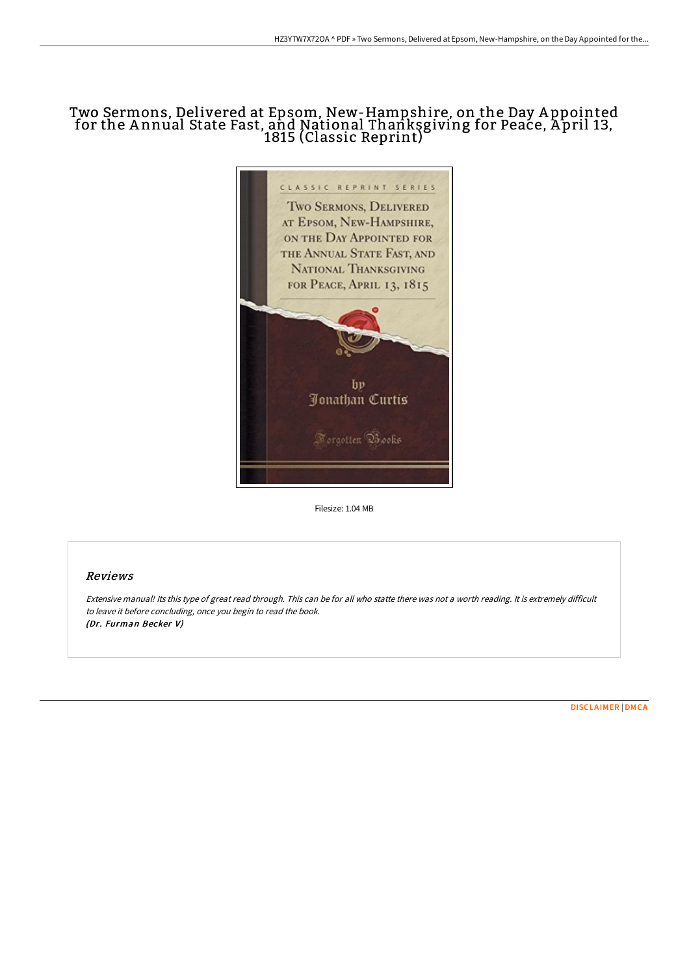## Two Sermons, Delivered at Epsom, New-Hampshire, on the Day A ppointed for the A nnual State Fast, and National Thanksgiving for Peace, A pril 13, 1815 (Classic Reprint)



Filesize: 1.04 MB

## Reviews

Extensive manual! Its this type of great read through. This can be for all who statte there was not <sup>a</sup> worth reading. It is extremely difficult to leave it before concluding, once you begin to read the book. (Dr. Furman Becker V)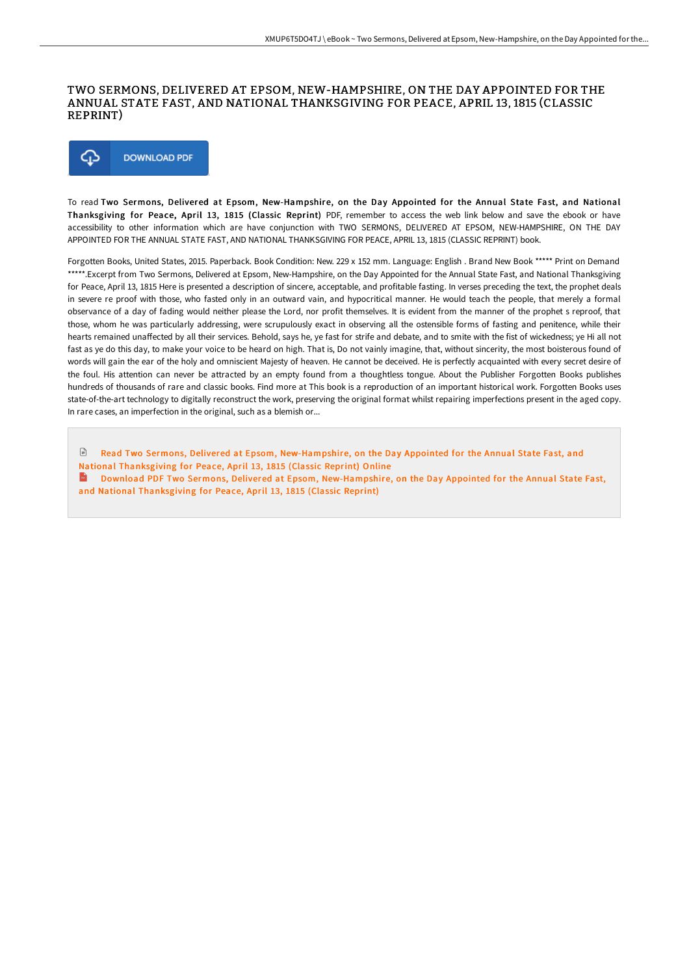## TWO SERMONS, DELIVERED AT EPSOM, NEW-HAMPSHIRE, ON THE DAY APPOINTED FOR THE ANNUAL STATE FAST, AND NATIONAL THANKSGIVING FOR PEACE, APRIL 13, 1815 (CLASSIC REPRINT)



To read Two Sermons, Delivered at Epsom, New-Hampshire, on the Day Appointed for the Annual State Fast, and National Thanksgiving for Peace, April 13, 1815 (Classic Reprint) PDF, remember to access the web link below and save the ebook or have accessibility to other information which are have conjunction with TWO SERMONS, DELIVERED AT EPSOM, NEW-HAMPSHIRE, ON THE DAY APPOINTED FOR THE ANNUAL STATE FAST, AND NATIONAL THANKSGIVING FOR PEACE, APRIL 13, 1815 (CLASSIC REPRINT) book.

Forgotten Books, United States, 2015. Paperback. Book Condition: New. 229 x 152 mm. Language: English . Brand New Book \*\*\*\*\* Print on Demand \*\*\*\*\*.Excerpt from Two Sermons, Delivered at Epsom, New-Hampshire, on the Day Appointed for the Annual State Fast, and National Thanksgiving for Peace, April 13, 1815 Here is presented a description of sincere, acceptable, and profitable fasting. In verses preceding the text, the prophet deals in severe re proof with those, who fasted only in an outward vain, and hypocritical manner. He would teach the people, that merely a formal observance of a day of fading would neither please the Lord, nor profit themselves. It is evident from the manner of the prophet s reproof, that those, whom he was particularly addressing, were scrupulously exact in observing all the ostensible forms of fasting and penitence, while their hearts remained unaffected by all their services. Behold, says he, ye fast for strife and debate, and to smite with the fist of wickedness; ye Hi all not fast as ye do this day, to make your voice to be heard on high. That is, Do not vainly imagine, that, without sincerity, the most boisterous found of words will gain the ear of the holy and omniscient Majesty of heaven. He cannot be deceived. He is perfectly acquainted with every secret desire of the foul. His attention can never be attracted by an empty found from a thoughtless tongue. About the Publisher Forgotten Books publishes hundreds of thousands of rare and classic books. Find more at This book is a reproduction of an important historical work. Forgotten Books uses state-of-the-art technology to digitally reconstruct the work, preserving the original format whilst repairing imperfections present in the aged copy. In rare cases, an imperfection in the original, such as a blemish or...

 $\sqrt{2}$ Read Two Sermons, Delivered at Epsom, [New-Hampshire,](http://techno-pub.tech/two-sermons-delivered-at-epsom-new-hampshire-on-.html) on the Day Appointed for the Annual State Fast, and National Thanksgiving for Peace, April 13, 1815 (Classic Reprint) Online

 $\mathbf{m}$ Download PDF Two Sermons, Delivered at Epsom, [New-Hampshire,](http://techno-pub.tech/two-sermons-delivered-at-epsom-new-hampshire-on-.html) on the Day Appointed for the Annual State Fast, and National Thanksgiving for Peace, April 13, 1815 (Classic Reprint)